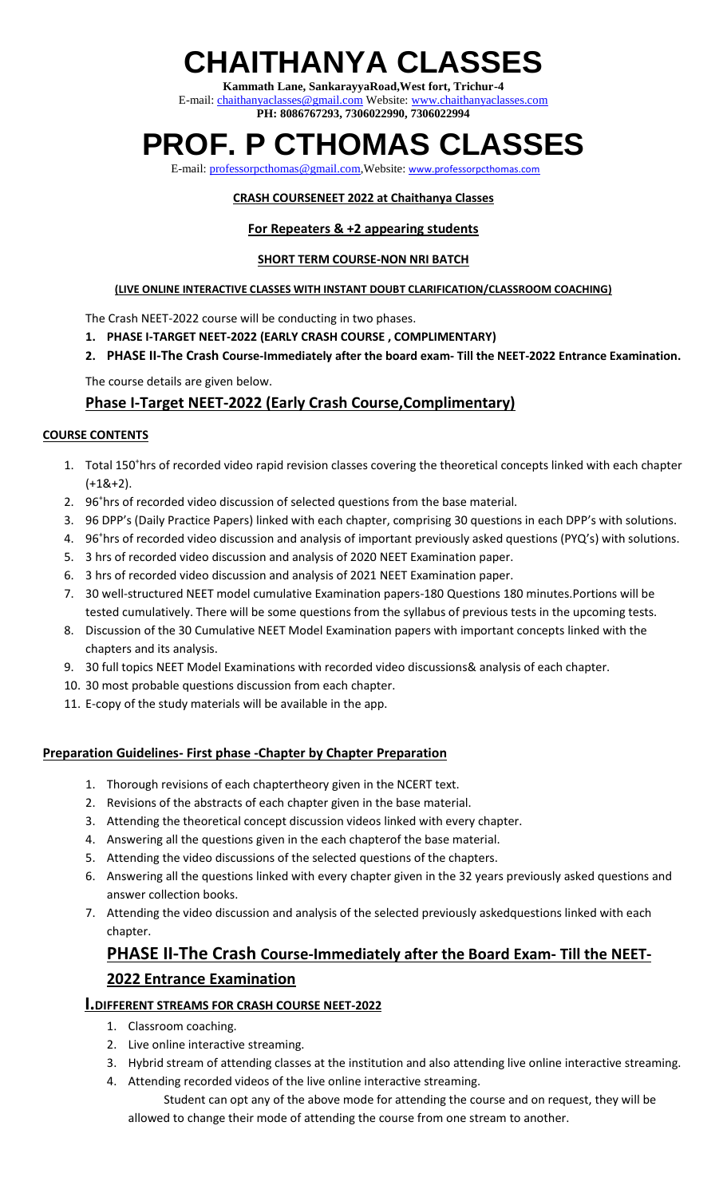# **CHAITHANYA CLASSES**

**Kammath Lane, SankarayyaRoad,West fort, Trichur-4** E-mail: [chaithanyaclasses@gmail.com](mailto:chaithanyaclasses@gmail.com) Website: [www.chaithanyaclasses.com](http://www.chaithanyaclasses.com/) **PH: 8086767293, 7306022990, 7306022994**

## **PROF. P CTHOMAS CLASSES**

E-mail: [professorpcthomas@gmail.com,](mailto:professorpcthomas@gmail.com) Website: [www.professorpcthomas.com](http://www.professorpcthomas.com/)

#### **CRASH COURSENEET 2022 at Chaithanya Classes**

#### **For Repeaters & +2 appearing students**

#### **SHORT TERM COURSE-NON NRI BATCH**

#### **(LIVE ONLINE INTERACTIVE CLASSES WITH INSTANT DOUBT CLARIFICATION/CLASSROOM COACHING)**

The Crash NEET-2022 course will be conducting in two phases.

- **1. PHASE I-TARGET NEET-2022 (EARLY CRASH COURSE , COMPLIMENTARY)**
- **2. PHASE II-The Crash Course-Immediately after the board exam- Till the NEET-2022 Entrance Examination.**

The course details are given below.

### **Phase I-Target NEET-2022 (Early Crash Course,Complimentary)**

#### **COURSE CONTENTS**

- 1. Total 150<sup>+</sup>hrs of recorded video rapid revision classes covering the theoretical concepts linked with each chapter  $(+1&+2).$
- 2. 96<sup>+</sup>hrs of recorded video discussion of selected questions from the base material.
- 3. 96 DPP's (Daily Practice Papers) linked with each chapter, comprising 30 questions in each DPP's with solutions.
- 4. 96<sup>+</sup>hrs of recorded video discussion and analysis of important previously asked questions (PYQ's) with solutions.
- 5. 3 hrs of recorded video discussion and analysis of 2020 NEET Examination paper.
- 6. 3 hrs of recorded video discussion and analysis of 2021 NEET Examination paper.
- 7. 30 well-structured NEET model cumulative Examination papers-180 Questions 180 minutes.Portions will be tested cumulatively. There will be some questions from the syllabus of previous tests in the upcoming tests.
- 8. Discussion of the 30 Cumulative NEET Model Examination papers with important concepts linked with the chapters and its analysis.
- 9. 30 full topics NEET Model Examinations with recorded video discussions& analysis of each chapter.
- 10. 30 most probable questions discussion from each chapter.
- 11. E-copy of the study materials will be available in the app.

#### **Preparation Guidelines- First phase -Chapter by Chapter Preparation**

- 1. Thorough revisions of each chaptertheory given in the NCERT text.
- 2. Revisions of the abstracts of each chapter given in the base material.
- 3. Attending the theoretical concept discussion videos linked with every chapter.
- 4. Answering all the questions given in the each chapterof the base material.
- 5. Attending the video discussions of the selected questions of the chapters.
- 6. Answering all the questions linked with every chapter given in the 32 years previously asked questions and answer collection books.
- 7. Attending the video discussion and analysis of the selected previously askedquestions linked with each chapter.

### **PHASE II-The Crash Course-Immediately after the Board Exam- Till the NEET-2022 Entrance Examination**

#### **I.DIFFERENT STREAMS FOR CRASH COURSE NEET-2022**

- 1. Classroom coaching.
- 2. Live online interactive streaming.
- 3. Hybrid stream of attending classes at the institution and also attending live online interactive streaming.
- 4. Attending recorded videos of the live online interactive streaming.

 Student can opt any of the above mode for attending the course and on request, they will be allowed to change their mode of attending the course from one stream to another.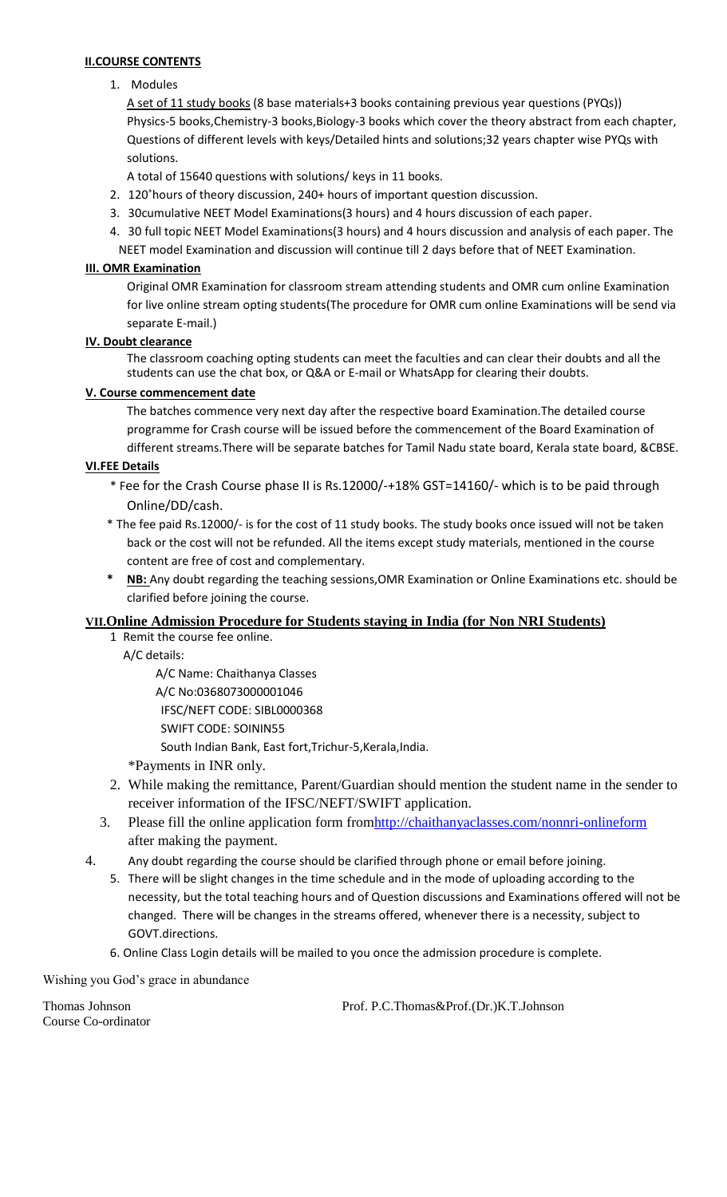#### **II.COURSE CONTENTS**

#### 1. Modules

A set of 11 study books (8 base materials+3 books containing previous year questions (PYQs)) Physics-5 books,Chemistry-3 books,Biology-3 books which cover the theory abstract from each chapter, Questions of different levels with keys/Detailed hints and solutions;32 years chapter wise PYQs with solutions.

A total of 15640 questions with solutions/ keys in 11 books.

- 2. 120<sup>+</sup>hours of theory discussion, 240+ hours of important question discussion.
- 3. 30cumulative NEET Model Examinations(3 hours) and 4 hours discussion of each paper.
- 4. 30 full topic NEET Model Examinations(3 hours) and 4 hours discussion and analysis of each paper. The NEET model Examination and discussion will continue till 2 days before that of NEET Examination.

#### **III. OMR Examination**

Original OMR Examination for classroom stream attending students and OMR cum online Examination for live online stream opting students(The procedure for OMR cum online Examinations will be send via separate E-mail.)

#### **IV. Doubt clearance**

The classroom coaching opting students can meet the faculties and can clear their doubts and all the students can use the chat box, or Q&A or E-mail or WhatsApp for clearing their doubts.

#### **V. Course commencement date**

The batches commence very next day after the respective board Examination.The detailed course programme for Crash course will be issued before the commencement of the Board Examination of different streams.There will be separate batches for Tamil Nadu state board, Kerala state board, &CBSE.

#### **VI.FEE Details**

- \* Fee for the Crash Course phase II is Rs.12000/-+18% GST=14160/- which is to be paid through Online/DD/cash.
- \* The fee paid Rs.12000/- is for the cost of 11 study books. The study books once issued will not be taken back or the cost will not be refunded. All the items except study materials, mentioned in the course content are free of cost and complementary.
- **NB:** Any doubt regarding the teaching sessions, OMR Examination or Online Examinations etc. should be clarified before joining the course.

#### **VII.Online Admission Procedure for Students staying in India (for Non NRI Students)**

1 Remit the course fee online.

A/C details:

 A/C Name: Chaithanya Classes A/C No:0368073000001046 IFSC/NEFT CODE: SIBL0000368 SWIFT CODE: SOININ55 South Indian Bank, East fort,Trichur-5,Kerala,India.

- \*Payments in INR only.
- 2. While making the remittance, Parent/Guardian should mention the student name in the sender to receiver information of the IFSC/NEFT/SWIFT application.
- 3. Please fill the online application form from http://chaithanyaclasses.com/nonnri-onlineform after making the payment.
- 4. Any doubt regarding the course should be clarified through phone or email before joining.
	- 5. There will be slight changes in the time schedule and in the mode of uploading according to the necessity, but the total teaching hours and of Question discussions and Examinations offered will not be changed. There will be changes in the streams offered, whenever there is a necessity, subject to GOVT.directions.
	- 6. Online Class Login details will be mailed to you once the admission procedure is complete.

Wishing you God's grace in abundance

Course Co-ordinator

Thomas Johnson Prof. P.C.Thomas&Prof.(Dr.)K.T.Johnson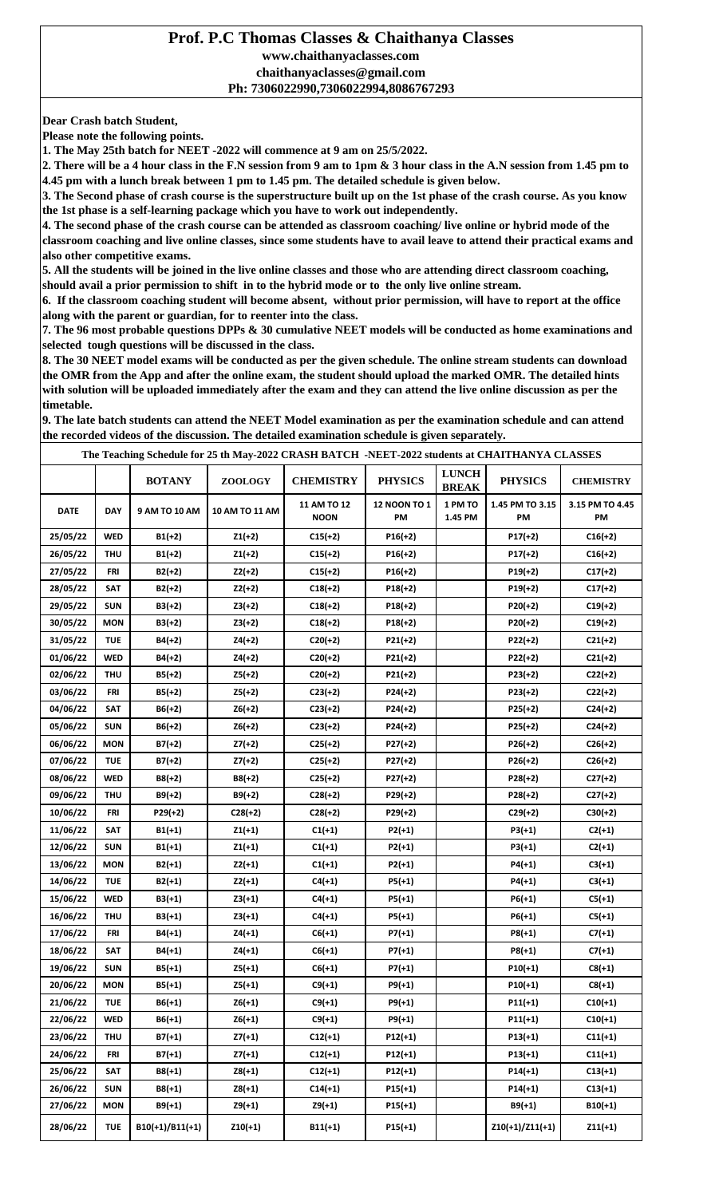#### **Prof. P.C Thomas Classes & Chaithanya Classes www.chaithanyaclasses.com chaithanyaclasses@gmail.com Ph: 7306022990,7306022994,8086767293**

**Dear Crash batch Student,**

**Please note the following points.**

**1. The May 25th batch for NEET -2022 will commence at 9 am on 25/5/2022.**

**2. There will be a 4 hour class in the F.N session from 9 am to 1pm & 3 hour class in the A.N session from 1.45 pm to 4.45 pm with a lunch break between 1 pm to 1.45 pm. The detailed schedule is given below.**

**3. The Second phase of crash course is the superstructure built up on the 1st phase of the crash course. As you know the 1st phase is a self-learning package which you have to work out independently.**

**4. The second phase of the crash course can be attended as classroom coaching/ live online or hybrid mode of the classroom coaching and live online classes, since some students have to avail leave to attend their practical exams and also other competitive exams.**

**5. All the students will be joined in the live online classes and those who are attending direct classroom coaching, should avail a prior permission to shift in to the hybrid mode or to the only live online stream.**

**6. If the classroom coaching student will become absent, without prior permission, will have to report at the office along with the parent or guardian, for to reenter into the class.**

**7. The 96 most probable questions DPPs & 30 cumulative NEET models will be conducted as home examinations and selected tough questions will be discussed in the class.**

**8. The 30 NEET model exams will be conducted as per the given schedule. The online stream students can download the OMR from the App and after the online exam, the student should upload the marked OMR. The detailed hints with solution will be uploaded immediately after the exam and they can attend the live online discussion as per the timetable.**

**9. The late batch students can attend the NEET Model examination as per the examination schedule and can attend the recorded videos of the discussion. The detailed examination schedule is given separately.**

**BOTANY ZOOLOGY CHEMISTRY PHYSICS**  $\begin{bmatrix} \text{LUNCH} \\ \text{PBF+Y} \end{bmatrix}$  **PHYSIC BREAK PHYSICS CHEMISTRY DATE DAY 9 AM TO 10 AM 10 AM TO 11 AM 11 AM TO 12 NOON 12 NOON TO 1 PM 1.45 PM 1 PM TO 1.45 PM TO 3.15 PM 3.15 PM TO 4.45 PM 25/05/22 WED B1(+2) Z1(+2) C15(+2) P16(+2) P17(+2) C16(+2) 26/05/22 THU B1(+2) Z1(+2) C15(+2) P16(+2) P17(+2) C16(+2) 27/05/22 FRI B2(+2) Z2(+2) C15(+2) P16(+2) P19(+2) C17(+2) The Teaching Schedule for 25 th May-2022 CRASH BATCH -NEET-2022 students at CHAITHANYA CLASSES**

| 20/03/22 | 1 N V      | ן זיין גט         | 44,741    | <b>5431741</b> | <b>FIU(T4)</b> | <b>FILITE</b>     | <b>CIU</b> (TZ) |
|----------|------------|-------------------|-----------|----------------|----------------|-------------------|-----------------|
| 27/05/22 | <b>FRI</b> | $B2(+2)$          | $Z2(+2)$  | $C15(+2)$      | $P16(+2)$      | $P19(+2)$         | $C17(+2)$       |
| 28/05/22 | <b>SAT</b> | $B2(+2)$          | $Z2(+2)$  | $C18(+2)$      | $P18(+2)$      | $P19(+2)$         | $C17(+2)$       |
| 29/05/22 | <b>SUN</b> | $B3(+2)$          | $Z3(+2)$  | $C18(+2)$      | $P18(+2)$      | $P20(+2)$         | $C19(+2)$       |
| 30/05/22 | <b>MON</b> | $B3(+2)$          | $Z3(+2)$  | $C18(+2)$      | $P18(+2)$      | $P20(+2)$         | $C19(+2)$       |
| 31/05/22 | <b>TUE</b> | $B4(+2)$          | $Z4(+2)$  | $C20(+2)$      | $P21(+2)$      | $P22(+2)$         | $C21(+2)$       |
| 01/06/22 | <b>WED</b> | $B4(+2)$          | $Z4(+2)$  | $C20(+2)$      | $P21(+2)$      | $P22(+2)$         | $C21(+2)$       |
| 02/06/22 | <b>THU</b> | $B5(+2)$          | $Z5(+2)$  | $C20(+2)$      | P21(+2)        | $P23(+2)$         | $C22(+2)$       |
| 03/06/22 | FRI        | $B5(+2)$          | $Z5(+2)$  | $C23(+2)$      | P24(+2)        | $P23(+2)$         | $C22(+2)$       |
| 04/06/22 | SAT        | $B6(+2)$          | $Z6(+2)$  | $C23(+2)$      | $P24(+2)$      | $P25(+2)$         | $C24(+2)$       |
| 05/06/22 | <b>SUN</b> | $B6(+2)$          | $Z6(+2)$  | $C23(+2)$      | $P24(+2)$      | $P25(+2)$         | $C24(+2)$       |
| 06/06/22 | <b>MON</b> | $B7(+2)$          | $Z7(+2)$  | $C25(+2)$      | $P27(+2)$      | $P26(+2)$         | $C26(+2)$       |
| 07/06/22 | <b>TUE</b> | $B7(+2)$          | $Z7(+2)$  | $C25(+2)$      | P27(+2)        | $P26(+2)$         | $C26(+2)$       |
| 08/06/22 | <b>WED</b> | $B8(+2)$          | $B8(+2)$  | $C25(+2)$      | $P27(+2)$      | $P28(+2)$         | $C27(+2)$       |
| 09/06/22 | <b>THU</b> | $B9(+2)$          | $B9(+2)$  | $C28(+2)$      | P29(+2)        | $P28(+2)$         | $C27(+2)$       |
| 10/06/22 | <b>FRI</b> | $P29(+2)$         | $C28(+2)$ | $C28(+2)$      | $P29(+2)$      | $C29(+2)$         | $C30(+2)$       |
| 11/06/22 | SAT        | $B1(+1)$          | $Z1(+1)$  | $C1(+1)$       | $P2(+1)$       | $P3(+1)$          | $C2(+1)$        |
| 12/06/22 | <b>SUN</b> | B1(+1)            | $Z1(+1)$  | $C1(+1)$       | $P2(+1)$       | $P3(+1)$          | $C2(+1)$        |
| 13/06/22 | <b>MON</b> | $B2(+1)$          | $Z2(+1)$  | $C1(+1)$       | $P2(+1)$       | $P4(+1)$          | $C3(+1)$        |
| 14/06/22 | <b>TUE</b> | $B2(+1)$          | $Z2(+1)$  | $C4(+1)$       | $P5(+1)$       | P4(+1)            | $C3(+1)$        |
| 15/06/22 | <b>WED</b> | $B3(+1)$          | $Z3(+1)$  | $C4(+1)$       | $P5(+1)$       | $P6(+1)$          | $C5(+1)$        |
| 16/06/22 | <b>THU</b> | $B3(+1)$          | $Z3(+1)$  | $C4(+1)$       | $P5(+1)$       | $P6(+1)$          | $C5(+1)$        |
| 17/06/22 | <b>FRI</b> | $B4(+1)$          | Z4(+1)    | $C6(+1)$       | $P7(+1)$       | $P8(+1)$          | $C7(+1)$        |
| 18/06/22 | <b>SAT</b> | B4(+1)            | $Z4(+1)$  | $C6(+1)$       | $P7(+1)$       | $P8(+1)$          | $C7(+1)$        |
| 19/06/22 | <b>SUN</b> | $B5(+1)$          | $Z5(+1)$  | $C6(+1)$       | $P7(+1)$       | $P10(+1)$         | $C8(+1)$        |
| 20/06/22 | <b>MON</b> | $B5(+1)$          | $Z5(+1)$  | $C9(+1)$       | $P9(+1)$       | $P10(+1)$         | $C8(+1)$        |
| 21/06/22 | <b>TUE</b> | $B6(+1)$          | $Z6(+1)$  | $C9(+1)$       | $P9(+1)$       | $P11(+1)$         | $C10(+1)$       |
| 22/06/22 | <b>WED</b> | $B6(+1)$          | $Z6(+1)$  | $C9(+1)$       | $P9(+1)$       | $P11(+1)$         | $C10(+1)$       |
| 23/06/22 | <b>THU</b> | $B7(+1)$          | $Z7(+1)$  | $C12(+1)$      | P12(+1)        | $P13(+1)$         | $C11(+1)$       |
| 24/06/22 | <b>FRI</b> | $B7(+1)$          | $Z7(+1)$  | $C12(+1)$      | $P12(+1)$      | $P13(+1)$         | $C11(+1)$       |
| 25/06/22 | SAT        | $B8(+1)$          | $Z8(+1)$  | $C12(+1)$      | $P12(+1)$      | $P14(+1)$         | $C13(+1)$       |
| 26/06/22 | <b>SUN</b> | $B8(+1)$          | $Z8(+1)$  | $C14(+1)$      | P15(+1)        | $P14(+1)$         | $C13(+1)$       |
| 27/06/22 | <b>MON</b> | $B9(+1)$          | $Z9(+1)$  | $Z9(+1)$       | $P15(+1)$      | $B9(+1)$          | $B10(+1)$       |
| 28/06/22 | <b>TUE</b> | $B10(+1)/B11(+1)$ | $Z10(+1)$ | $B11(+1)$      | $P15(+1)$      | $Z10(+1)/Z11(+1)$ | $Z11(+1)$       |
|          |            |                   |           |                |                |                   |                 |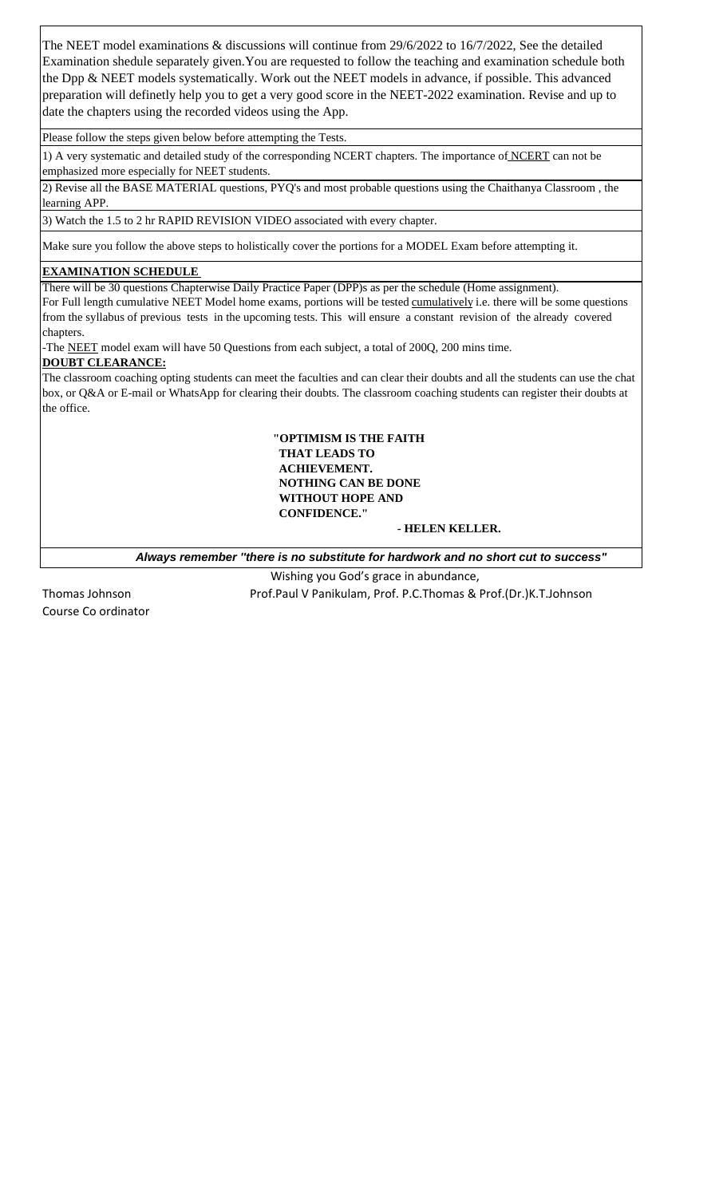The NEET model examinations & discussions will continue from 29/6/2022 to 16/7/2022, See the detailed Examination shedule separately given.You are requested to follow the teaching and examination schedule both the Dpp & NEET models systematically. Work out the NEET models in advance, if possible. This advanced preparation will definetly help you to get a very good score in the NEET-2022 examination. Revise and up to date the chapters using the recorded videos using the App.

Please follow the steps given below before attempting the Tests.

1) A very systematic and detailed study of the corresponding NCERT chapters. The importance of NCERT can not be emphasized more especially for NEET students.

2) Revise all the BASE MATERIAL questions, PYQ's and most probable questions using the Chaithanya Classroom , the learning APP.

3) Watch the 1.5 to 2 hr RAPID REVISION VIDEO associated with every chapter.

Make sure you follow the above steps to holistically cover the portions for a MODEL Exam before attempting it.

#### **EXAMINATION SCHEDULE**

There will be 30 questions Chapterwise Daily Practice Paper (DPP)s as per the schedule (Home assignment). For Full length cumulative NEET Model home exams, portions will be tested cumulatively i.e. there will be some questions from the syllabus of previous tests in the upcoming tests. This will ensure a constant revision of the already covered chapters.

-The NEET model exam will have 50 Questions from each subject, a total of 200Q, 200 mins time.

#### **DOUBT CLEARANCE:**

The classroom coaching opting students can meet the faculties and can clear their doubts and all the students can use the chat box, or Q&A or E-mail or WhatsApp for clearing their doubts. The classroom coaching students can register their doubts at the office.

#### **"OPTIMISM IS THE FAITH THAT LEADS TO ACHIEVEMENT. NOTHING CAN BE DONE WITHOUT HOPE AND CONFIDENCE."**

#### **- HELEN KELLER.**

 *Always remember ''there is no substitute for hardwork and no short cut to success"*

Wishing you God's grace in abundance,

Course Co ordinator

Thomas Johnson Prof.Paul V Panikulam, Prof. P.C.Thomas & Prof.(Dr.)K.T.Johnson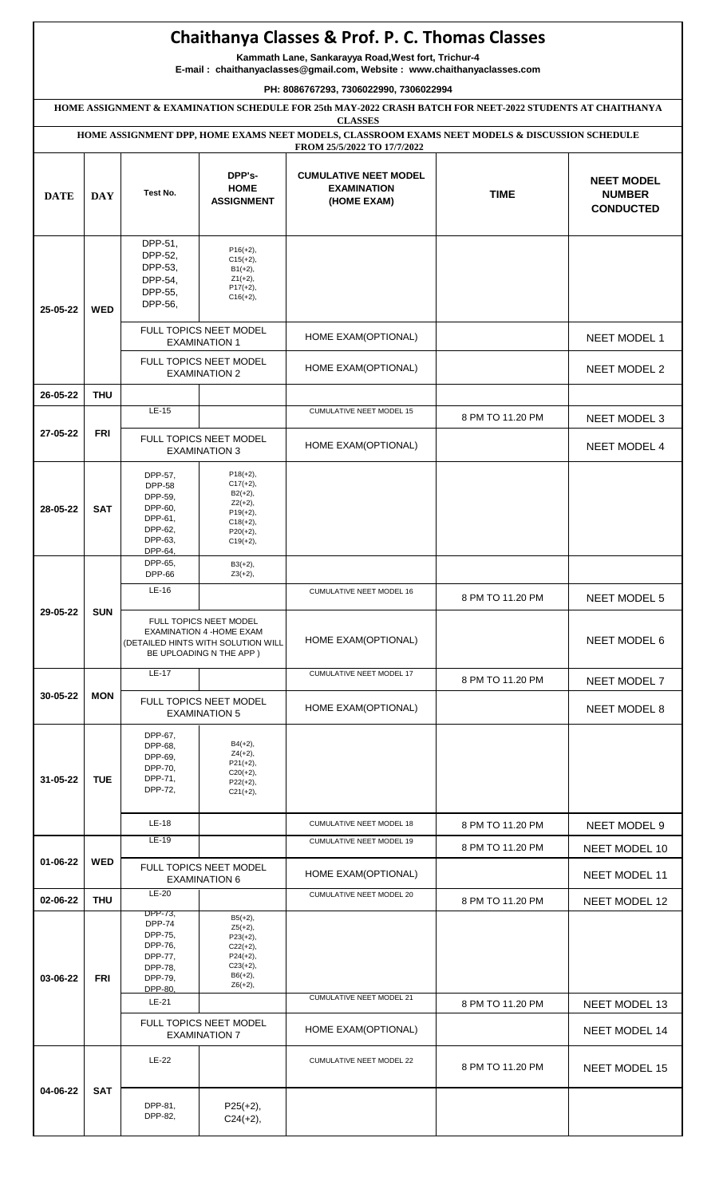## **Chaithanya Classes & Prof. P. C. Thomas Classes**

**Kammath Lane, Sankarayya Road,West fort, Trichur-4**

**E-mail : chaithanyaclasses@gmail.com, Website : www.chaithanyaclasses.com**

**PH: 8086767293, 7306022990, 7306022994**

**HOME ASSIGNMENT & EXAMINATION SCHEDULE FOR 25th MAY-2022 CRASH BATCH FOR NEET-2022 STUDENTS AT CHAITHANYA**

|             |            |                                                                                            |                                                                                                                      | <b>CLASSES</b><br>HOME ASSIGNMENT DPP, HOME EXAMS NEET MODELS, CLASSROOM EXAMS NEET MODELS & DISCUSSION SCHEDULE<br>FROM 25/5/2022 TO 17/7/2022 |                          |                                                        |               |
|-------------|------------|--------------------------------------------------------------------------------------------|----------------------------------------------------------------------------------------------------------------------|-------------------------------------------------------------------------------------------------------------------------------------------------|--------------------------|--------------------------------------------------------|---------------|
| <b>DATE</b> | <b>DAY</b> | Test No.                                                                                   | DPP's-<br><b>HOME</b><br><b>ASSIGNMENT</b>                                                                           | <b>CUMULATIVE NEET MODEL</b><br><b>EXAMINATION</b><br>(HOME EXAM)                                                                               | <b>TIME</b>              | <b>NEET MODEL</b><br><b>NUMBER</b><br><b>CONDUCTED</b> |               |
| 25-05-22    | <b>WED</b> | DPP-51,<br>DPP-52,<br>DPP-53,<br>DPP-54,<br>DPP-55,<br>DPP-56,                             | $P16(+2),$<br>$C15(+2)$ ,<br>$B1(+2),$<br>$Z1(+2)$ ,<br>$P17(+2)$ ,<br>$C16(+2)$ ,                                   |                                                                                                                                                 |                          |                                                        |               |
|             |            | FULL TOPICS NEET MODEL<br><b>EXAMINATION 1</b><br>FULL TOPICS NEET MODEL                   |                                                                                                                      | HOME EXAM(OPTIONAL)                                                                                                                             |                          | NEET MODEL 1                                           |               |
|             |            |                                                                                            | <b>EXAMINATION 2</b>                                                                                                 | HOME EXAM(OPTIONAL)                                                                                                                             |                          | NEET MODEL 2                                           |               |
| 26-05-22    | <b>THU</b> | LE-15                                                                                      |                                                                                                                      | CUMULATIVE NEET MODEL 15                                                                                                                        |                          |                                                        |               |
| 27-05-22    | FRI        |                                                                                            |                                                                                                                      |                                                                                                                                                 | 8 PM TO 11.20 PM         | NEET MODEL 3                                           |               |
|             |            |                                                                                            | FULL TOPICS NEET MODEL<br><b>EXAMINATION 3</b>                                                                       | HOME EXAM(OPTIONAL)                                                                                                                             |                          | <b>NEET MODEL 4</b>                                    |               |
| 28-05-22    | <b>SAT</b> | DPP-57,<br><b>DPP-58</b><br>DPP-59,<br>DPP-60,<br>DPP-61,<br>DPP-62,<br>DPP-63,<br>DPP-64, | $P18(+2),$<br>$C17(+2)$ ,<br>$B2(+2),$<br>$Z2(+2)$ ,<br>$P19(+2)$ ,<br>$C18(+2),$<br>$P20(+2),$<br>$C19(+2)$ ,       |                                                                                                                                                 |                          |                                                        |               |
| 29-05-22    |            | DPP-65,<br><b>DPP-66</b>                                                                   | $B3(+2),$<br>$Z3(+2)$ ,                                                                                              |                                                                                                                                                 |                          |                                                        |               |
|             | <b>SUN</b> | LE-16                                                                                      |                                                                                                                      | CUMULATIVE NEET MODEL 16                                                                                                                        | 8 PM TO 11.20 PM         | <b>NEET MODEL 5</b>                                    |               |
|             |            |                                                                                            | FULL TOPICS NEET MODEL<br>EXAMINATION 4 - HOME EXAM<br>(DETAILED HINTS WITH SOLUTION WILL<br>BE UPLOADING N THE APP) | HOME EXAM(OPTIONAL)                                                                                                                             |                          | <b>NEET MODEL 6</b>                                    |               |
|             |            | $LE-17$                                                                                    |                                                                                                                      | <b>CUMULATIVE NEET MODEL 17</b>                                                                                                                 | 8 PM TO 11.20 PM         | NEET MODEL 7                                           |               |
| 30-05-22    | <b>MON</b> |                                                                                            | FULL TOPICS NEET MODEL<br><b>EXAMINATION 5</b>                                                                       | HOME EXAM(OPTIONAL)                                                                                                                             |                          | <b>NEET MODEL 8</b>                                    |               |
| 31-05-22    | <b>TUE</b> | DPP-67,<br>DPP-68,<br>DPP-69,<br>DPP-70,<br>DPP-71,<br>DPP-72,                             | $B4(+2)$ ,<br>$Z4(+2)$ ,<br>$P21(+2),$<br>$C20(+2)$ ,<br>$P22(+2),$<br>$C21(+2)$ ,                                   |                                                                                                                                                 |                          |                                                        |               |
|             |            | LE-18                                                                                      |                                                                                                                      | <b>CUMULATIVE NEET MODEL 18</b>                                                                                                                 | 8 PM TO 11.20 PM         | <b>NEET MODEL 9</b>                                    |               |
| 01-06-22    |            | <b>WED</b>                                                                                 | $LE-19$                                                                                                              |                                                                                                                                                 | CUMULATIVE NEET MODEL 19 | 8 PM TO 11.20 PM                                       | NEET MODEL 10 |
|             |            |                                                                                            | FULL TOPICS NEET MODEL<br><b>EXAMINATION 6</b>                                                                       | HOME EXAM(OPTIONAL)                                                                                                                             |                          | NEET MODEL 11                                          |               |
| 02-06-22    | <b>THU</b> | $LE-20$                                                                                    |                                                                                                                      | <b>CUMULATIVE NEET MODEL 20</b>                                                                                                                 | 8 PM TO 11.20 PM         | NEET MODEL 12                                          |               |
| 03-06-22    | FRI        | DPP-73,<br><b>DPP-74</b><br>DPP-75,<br>DPP-76,<br>DPP-77,<br>DPP-78,<br>DPP-79,<br>DPP-80. | $B5(+2),$<br>$Z5(+2)$ ,<br>$P23(+2),$<br>$C22(+2),$<br>$P24(+2),$<br>$C23(+2)$ ,<br>$B6(+2)$ ,<br>$Z6(+2)$ ,         |                                                                                                                                                 |                          |                                                        |               |
|             |            | LE-21                                                                                      |                                                                                                                      | <b>CUMULATIVE NEET MODEL 21</b>                                                                                                                 | 8 PM TO 11.20 PM         | NEET MODEL 13                                          |               |
|             |            | FULL TOPICS NEET MODEL<br><b>EXAMINATION 7</b>                                             |                                                                                                                      | HOME EXAM(OPTIONAL)                                                                                                                             |                          | NEET MODEL 14                                          |               |
|             |            | $LE-22$                                                                                    |                                                                                                                      | CUMULATIVE NEET MODEL 22                                                                                                                        | 8 PM TO 11.20 PM         | NEET MODEL 15                                          |               |
| 04-06-22    | <b>SAT</b> | DPP-81,<br>DPP-82,                                                                         | $P25(+2)$ ,<br>$C24(+2),$                                                                                            |                                                                                                                                                 |                          |                                                        |               |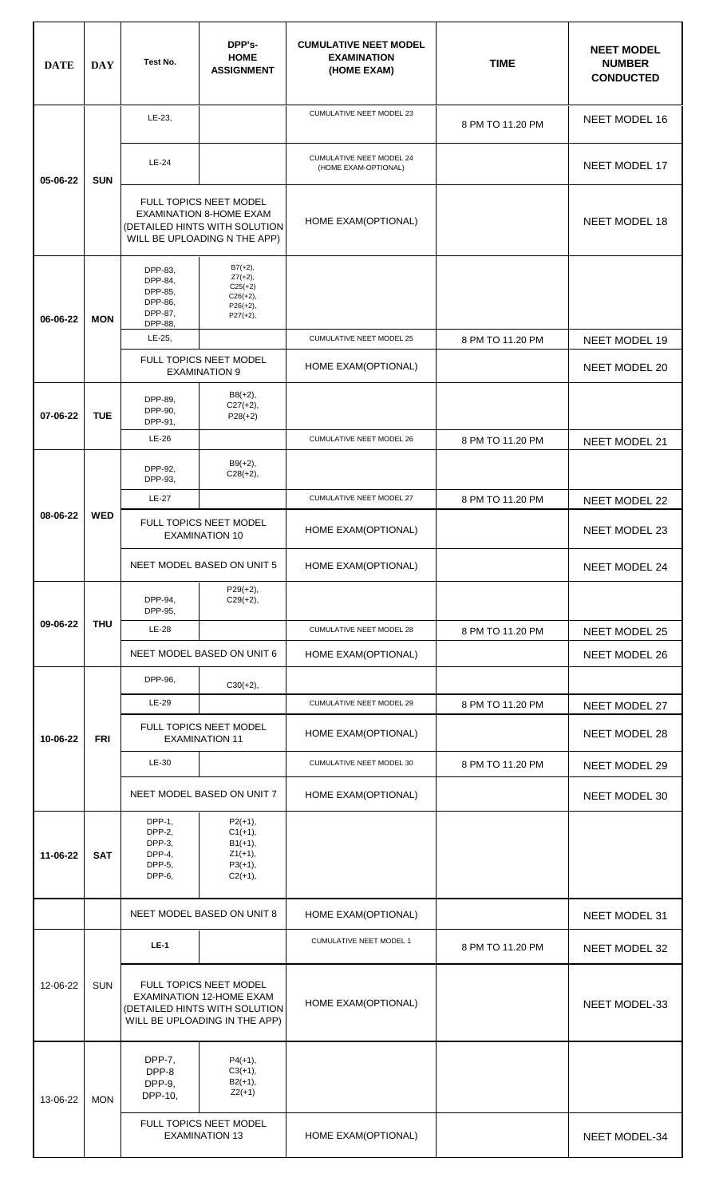| <b>DATE</b> | <b>DAY</b> | Test No.                                                       | DPP's-<br><b>HOME</b><br><b>ASSIGNMENT</b>                                                                                  | <b>CUMULATIVE NEET MODEL</b><br><b>EXAMINATION</b><br>(HOME EXAM) | <b>TIME</b>      | <b>NEET MODEL</b><br><b>NUMBER</b><br><b>CONDUCTED</b> |
|-------------|------------|----------------------------------------------------------------|-----------------------------------------------------------------------------------------------------------------------------|-------------------------------------------------------------------|------------------|--------------------------------------------------------|
| 05-06-22    |            | LE-23,                                                         |                                                                                                                             | CUMULATIVE NEET MODEL 23                                          | 8 PM TO 11.20 PM | NEET MODEL 16                                          |
|             | <b>SUN</b> | <b>LE-24</b>                                                   |                                                                                                                             | <b>CUMULATIVE NEET MODEL 24</b><br>(HOME EXAM-OPTIONAL)           |                  | <b>NEET MODEL 17</b>                                   |
|             |            |                                                                | FULL TOPICS NEET MODEL<br><b>EXAMINATION 8-HOME EXAM</b><br>(DETAILED HINTS WITH SOLUTION<br>WILL BE UPLOADING N THE APP)   | HOME EXAM(OPTIONAL)                                               |                  | <b>NEET MODEL 18</b>                                   |
| 06-06-22    | <b>MON</b> | DPP-83,<br>DPP-84,<br>DPP-85,<br>DPP-86,<br>DPP-87,<br>DPP-88, | $B7(+2),$<br>$Z7(+2),$<br>$C25(+2)$<br>$C26(+2)$ ,<br>$P26(+2),$<br>$P27(+2),$                                              |                                                                   |                  |                                                        |
|             |            | LE-25,                                                         |                                                                                                                             | <b>CUMULATIVE NEET MODEL 25</b>                                   | 8 PM TO 11.20 PM | NEET MODEL 19                                          |
|             |            |                                                                | FULL TOPICS NEET MODEL<br><b>EXAMINATION 9</b>                                                                              | HOME EXAM(OPTIONAL)                                               |                  | <b>NEET MODEL 20</b>                                   |
| 07-06-22    | <b>TUE</b> | DPP-89,<br>DPP-90,<br>DPP-91,                                  | $B8(+2)$ ,<br>$C27(+2),$<br>$P28(+2)$                                                                                       |                                                                   |                  |                                                        |
|             |            | LE-26                                                          |                                                                                                                             | <b>CUMULATIVE NEET MODEL 26</b>                                   | 8 PM TO 11.20 PM | NEET MODEL 21                                          |
|             |            | DPP-92,<br>DPP-93,                                             | $B9(+2)$ ,<br>$C28(+2)$ ,                                                                                                   |                                                                   |                  |                                                        |
|             |            | <b>LE-27</b>                                                   |                                                                                                                             | <b>CUMULATIVE NEET MODEL 27</b>                                   | 8 PM TO 11.20 PM | NEET MODEL 22                                          |
| 08-06-22    | <b>WED</b> | FULL TOPICS NEET MODEL<br><b>EXAMINATION 10</b>                |                                                                                                                             | HOME EXAM(OPTIONAL)                                               |                  | NEET MODEL 23                                          |
|             |            |                                                                | NEET MODEL BASED ON UNIT 5                                                                                                  | HOME EXAM(OPTIONAL)                                               |                  | NEET MODEL 24                                          |
|             | <b>THU</b> | DPP-94,<br>DPP-95,                                             | $P29(+2),$<br>$C29(+2),$                                                                                                    |                                                                   |                  |                                                        |
| 09-06-22    |            | <b>LE-28</b>                                                   |                                                                                                                             | CUMULATIVE NEET MODEL 28                                          | 8 PM TO 11.20 PM | NEET MODEL 25                                          |
|             |            |                                                                | NEET MODEL BASED ON UNIT 6                                                                                                  | HOME EXAM(OPTIONAL)                                               |                  | NEET MODEL 26                                          |
|             | <b>FRI</b> | DPP-96,                                                        | $C30(+2)$ ,                                                                                                                 |                                                                   |                  |                                                        |
|             |            | LE-29                                                          |                                                                                                                             | CUMULATIVE NEET MODEL 29                                          | 8 PM TO 11.20 PM | NEET MODEL 27                                          |
| 10-06-22    |            | FULL TOPICS NEET MODEL<br><b>EXAMINATION 11</b>                |                                                                                                                             | HOME EXAM(OPTIONAL)                                               |                  | NEET MODEL 28                                          |
|             |            | LE-30                                                          |                                                                                                                             | CUMULATIVE NEET MODEL 30                                          | 8 PM TO 11.20 PM | NEET MODEL 29                                          |
|             |            |                                                                | NEET MODEL BASED ON UNIT 7                                                                                                  | HOME EXAM(OPTIONAL)                                               |                  | NEET MODEL 30                                          |
| 11-06-22    | <b>SAT</b> | DPP-1,<br>DPP-2,<br>DPP-3,<br>DPP-4,<br>DPP-5,<br>DPP-6,       | $P2(+1),$<br>$C1(+1),$<br>$B1(+1),$<br>$Z1(+1),$<br>$P3(+1),$<br>$C2(+1),$                                                  |                                                                   |                  |                                                        |
|             |            |                                                                | NEET MODEL BASED ON UNIT 8                                                                                                  | HOME EXAM(OPTIONAL)                                               |                  | NEET MODEL 31                                          |
|             |            | $LE-1$                                                         |                                                                                                                             | CUMULATIVE NEET MODEL 1                                           | 8 PM TO 11.20 PM | NEET MODEL 32                                          |
| 12-06-22    | <b>SUN</b> |                                                                | FULL TOPICS NEET MODEL<br><b>EXAMINATION 12-HOME EXAM</b><br>(DETAILED HINTS WITH SOLUTION<br>WILL BE UPLOADING IN THE APP) | HOME EXAM(OPTIONAL)                                               |                  | NEET MODEL-33                                          |
| 13-06-22    | <b>MON</b> | DPP-7,<br>DPP-8<br>DPP-9,<br>DPP-10,                           | $P4(+1),$<br>$C3(+1),$<br>$B2(+1),$<br>$Z2(+1)$                                                                             |                                                                   |                  |                                                        |
|             |            |                                                                | FULL TOPICS NEET MODEL<br><b>EXAMINATION 13</b>                                                                             | HOME EXAM(OPTIONAL)                                               |                  | NEET MODEL-34                                          |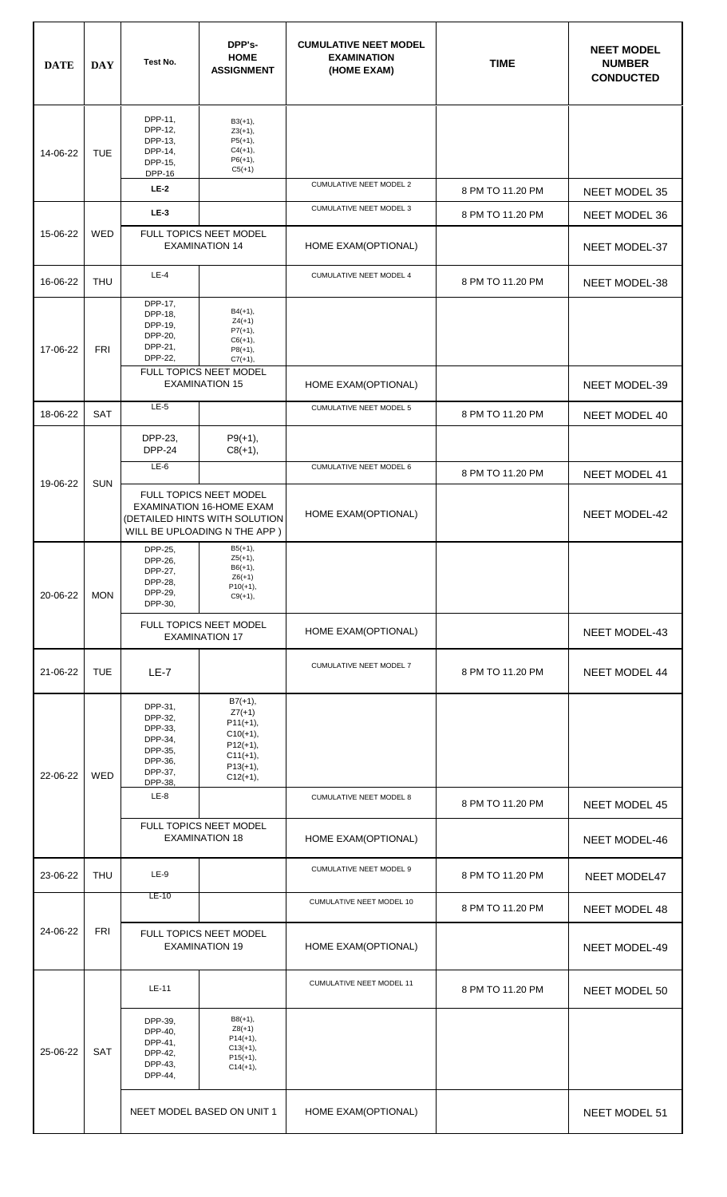| <b>DATE</b>            | <b>DAY</b> | Test No.                                                                             | DPP's-<br><b>HOME</b><br><b>ASSIGNMENT</b>                                                                                 | <b>CUMULATIVE NEET MODEL</b><br><b>EXAMINATION</b><br>(HOME EXAM) | <b>TIME</b>      | <b>NEET MODEL</b><br><b>NUMBER</b><br><b>CONDUCTED</b> |
|------------------------|------------|--------------------------------------------------------------------------------------|----------------------------------------------------------------------------------------------------------------------------|-------------------------------------------------------------------|------------------|--------------------------------------------------------|
| 14-06-22               | <b>TUE</b> | DPP-11,<br>DPP-12,<br>DPP-13,<br>DPP-14,<br>DPP-15,<br><b>DPP-16</b>                 | $B3(+1),$<br>$Z3(+1),$<br>$P5(+1),$<br>$C4(+1),$<br>$P6(+1),$<br>$C5(+1)$                                                  |                                                                   |                  |                                                        |
|                        |            | <b>LE-2</b>                                                                          |                                                                                                                            | <b>CUMULATIVE NEET MODEL 2</b>                                    | 8 PM TO 11.20 PM | NEET MODEL 35                                          |
|                        |            | $LE-3$                                                                               |                                                                                                                            | <b>CUMULATIVE NEET MODEL 3</b>                                    | 8 PM TO 11.20 PM | NEET MODEL 36                                          |
| 15-06-22               | WED        |                                                                                      | FULL TOPICS NEET MODEL<br><b>EXAMINATION 14</b>                                                                            | HOME EXAM(OPTIONAL)                                               |                  | NEET MODEL-37                                          |
| 16-06-22               | <b>THU</b> | $LE-4$                                                                               |                                                                                                                            | <b>CUMULATIVE NEET MODEL 4</b>                                    | 8 PM TO 11.20 PM | NEET MODEL-38                                          |
| 17-06-22               | <b>FRI</b> | DPP-17,<br>DPP-18,<br>DPP-19,<br>DPP-20,<br>DPP-21,<br>DPP-22,                       | $B4(+1),$<br>$Z4(+1)$<br>$P7(+1),$<br>$C6(+1),$<br>$P8(+1),$<br>$C7(+1),$<br><b>FULL TOPICS NEET MODEL</b>                 |                                                                   |                  |                                                        |
|                        |            |                                                                                      | <b>EXAMINATION 15</b>                                                                                                      | HOME EXAM(OPTIONAL)                                               |                  | NEET MODEL-39                                          |
| 18-06-22               | <b>SAT</b> | $LE-5$                                                                               |                                                                                                                            | <b>CUMULATIVE NEET MODEL 5</b>                                    | 8 PM TO 11.20 PM | NEET MODEL 40                                          |
|                        |            | DPP-23,<br><b>DPP-24</b>                                                             | $P9(+1),$<br>$C8(+1),$                                                                                                     |                                                                   |                  |                                                        |
| 19-06-22               | <b>SUN</b> | $LE-6$                                                                               |                                                                                                                            | CUMULATIVE NEET MODEL 6                                           | 8 PM TO 11.20 PM | NEET MODEL 41                                          |
|                        |            |                                                                                      | FULL TOPICS NEET MODEL<br><b>EXAMINATION 16-HOME EXAM</b><br>(DETAILED HINTS WITH SOLUTION<br>WILL BE UPLOADING N THE APP) | HOME EXAM(OPTIONAL)                                               |                  | NEET MODEL-42                                          |
| 20-06-22               | <b>MON</b> | DPP-25,<br>DPP-26,<br>DPP-27,<br>DPP-28,<br>DPP-29,<br>DPP-30,                       | $B5(+1),$<br>$Z5(+1),$<br>$B6(+1),$<br>$Z6(+1)$<br>$P10(+1),$<br>$C9(+1)$ ,                                                |                                                                   |                  |                                                        |
|                        |            |                                                                                      | FULL TOPICS NEET MODEL<br><b>EXAMINATION 17</b>                                                                            | HOME EXAM(OPTIONAL)                                               |                  | <b>NEET MODEL-43</b>                                   |
| 21-06-22               | <b>TUE</b> | $LE-7$                                                                               |                                                                                                                            | CUMULATIVE NEET MODEL 7                                           | 8 PM TO 11.20 PM | NEET MODEL 44                                          |
| 22-06-22               | <b>WED</b> | DPP-31,<br>DPP-32,<br>DPP-33,<br>DPP-34,<br>DPP-35,<br>DPP-36,<br>DPP-37,<br>DPP-38, | $B7(+1),$<br>$Z7(+1)$<br>$P11(+1),$<br>$C10(+1)$ ,<br>$P12(+1),$<br>$C11(+1)$ ,<br>$P13(+1)$ ,<br>$C12(+1)$ ,              |                                                                   |                  |                                                        |
|                        |            | $LE-8$                                                                               | <b>CUMULATIVE NEET MODEL 8</b>                                                                                             | 8 PM TO 11.20 PM                                                  | NEET MODEL 45    |                                                        |
|                        |            |                                                                                      | FULL TOPICS NEET MODEL<br><b>EXAMINATION 18</b>                                                                            | HOME EXAM(OPTIONAL)                                               |                  | <b>NEET MODEL-46</b>                                   |
| 23-06-22               | <b>THU</b> | $LE-9$<br>LE-10                                                                      |                                                                                                                            | CUMULATIVE NEET MODEL 9                                           | 8 PM TO 11.20 PM | NEET MODEL47                                           |
|                        |            |                                                                                      |                                                                                                                            | CUMULATIVE NEET MODEL 10                                          | 8 PM TO 11.20 PM | NEET MODEL 48                                          |
| <b>FRI</b><br>24-06-22 |            | FULL TOPICS NEET MODEL<br><b>EXAMINATION 19</b>                                      | HOME EXAM(OPTIONAL)                                                                                                        |                                                                   | NEET MODEL-49    |                                                        |
| 25-06-22               |            | LE-11                                                                                |                                                                                                                            | CUMULATIVE NEET MODEL 11                                          | 8 PM TO 11.20 PM | NEET MODEL 50                                          |
|                        | SAT        | DPP-39,<br>DPP-40,<br>DPP-41,<br>DPP-42,<br>DPP-43,<br>DPP-44,                       | $B8(+1),$<br>$Z8(+1)$<br>$P14(+1),$<br>$C13(+1),$<br>$P15(+1),$<br>$C14(+1),$                                              |                                                                   |                  |                                                        |
|                        |            |                                                                                      | NEET MODEL BASED ON UNIT 1                                                                                                 | HOME EXAM(OPTIONAL)                                               |                  | NEET MODEL 51                                          |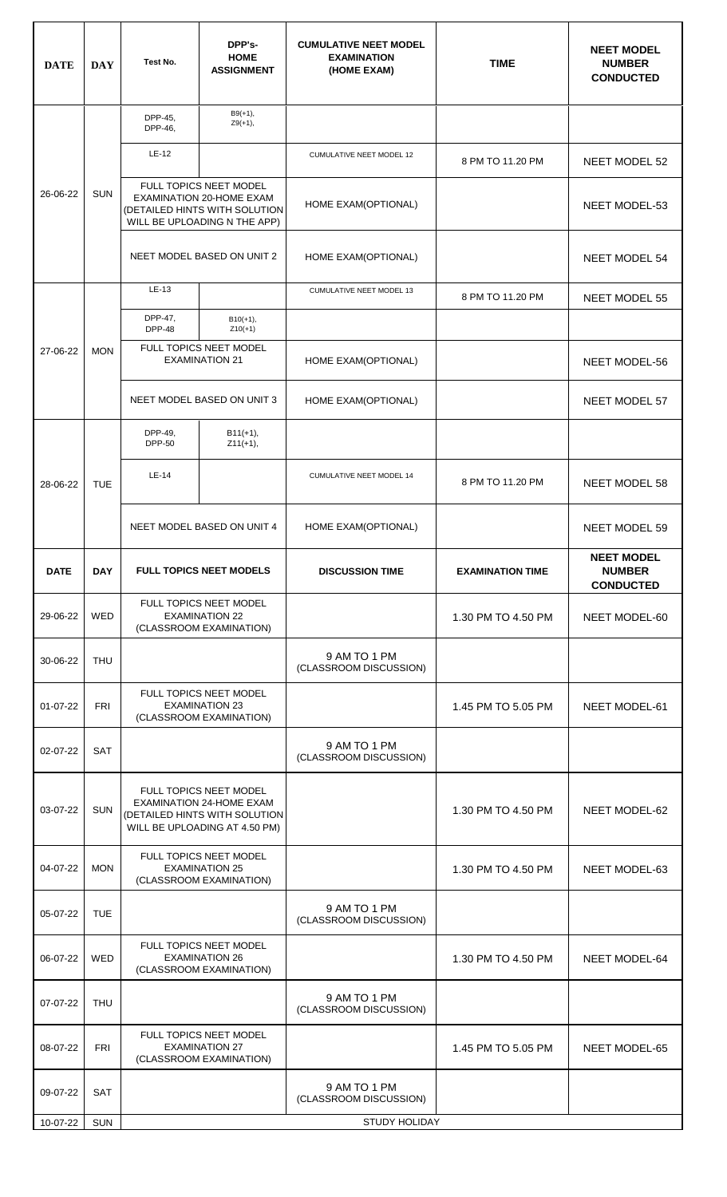| <b>DATE</b> | <b>DAY</b> | Test No.                                                                                                                                          | DPP's-<br><b>HOME</b><br><b>ASSIGNMENT</b>      | <b>CUMULATIVE NEET MODEL</b><br><b>EXAMINATION</b><br>(HOME EXAM) | <b>TIME</b>             | <b>NEET MODEL</b><br><b>NUMBER</b><br><b>CONDUCTED</b> |  |
|-------------|------------|---------------------------------------------------------------------------------------------------------------------------------------------------|-------------------------------------------------|-------------------------------------------------------------------|-------------------------|--------------------------------------------------------|--|
|             |            | DPP-45,<br>DPP-46,                                                                                                                                | $B9(+1),$<br>$Z9(+1)$ ,                         |                                                                   |                         |                                                        |  |
|             |            | LE-12                                                                                                                                             |                                                 | CUMULATIVE NEET MODEL 12                                          | 8 PM TO 11.20 PM        | NEET MODEL 52                                          |  |
| 26-06-22    | <b>SUN</b> | FULL TOPICS NEET MODEL<br>EXAMINATION 20-HOME EXAM<br>(DETAILED HINTS WITH SOLUTION<br>WILL BE UPLOADING N THE APP)<br>NEET MODEL BASED ON UNIT 2 |                                                 | HOME EXAM(OPTIONAL)                                               |                         | NEET MODEL-53                                          |  |
|             |            |                                                                                                                                                   |                                                 | HOME EXAM(OPTIONAL)                                               |                         | <b>NEET MODEL 54</b>                                   |  |
|             |            | LE-13                                                                                                                                             |                                                 | <b>CUMULATIVE NEET MODEL 13</b>                                   | 8 PM TO 11.20 PM        | NEET MODEL 55                                          |  |
|             |            | DPP-47,<br><b>DPP-48</b>                                                                                                                          | $B10(+1),$<br>$Z10(+1)$                         |                                                                   |                         |                                                        |  |
| 27-06-22    | <b>MON</b> |                                                                                                                                                   | FULL TOPICS NEET MODEL<br><b>EXAMINATION 21</b> | HOME EXAM(OPTIONAL)                                               |                         | NEET MODEL-56                                          |  |
|             |            |                                                                                                                                                   | NEET MODEL BASED ON UNIT 3                      | HOME EXAM(OPTIONAL)                                               |                         | NEET MODEL 57                                          |  |
|             |            | DPP-49,<br>DPP-50                                                                                                                                 | $B11(+1),$<br>$Z11(+1),$                        |                                                                   |                         |                                                        |  |
| 28-06-22    | <b>TUE</b> | $LE-14$                                                                                                                                           |                                                 | CUMULATIVE NEET MODEL 14                                          | 8 PM TO 11.20 PM        | NEET MODEL 58                                          |  |
|             |            |                                                                                                                                                   | NEET MODEL BASED ON UNIT 4                      | HOME EXAM(OPTIONAL)                                               |                         | NEET MODEL 59                                          |  |
| <b>DATE</b> | <b>DAY</b> | <b>FULL TOPICS NEET MODELS</b>                                                                                                                    |                                                 | <b>DISCUSSION TIME</b>                                            | <b>EXAMINATION TIME</b> | <b>NEET MODEL</b><br><b>NUMBER</b><br><b>CONDUCTED</b> |  |
| 29-06-22    | <b>WED</b> | FULL TOPICS NEET MODEL<br><b>EXAMINATION 22</b><br>(CLASSROOM EXAMINATION)                                                                        |                                                 |                                                                   | 1.30 PM TO 4.50 PM      | NEET MODEL-60                                          |  |
| 30-06-22    | <b>THU</b> |                                                                                                                                                   |                                                 | 9 AM TO 1 PM<br>(CLASSROOM DISCUSSION)                            |                         |                                                        |  |
| 01-07-22    | <b>FRI</b> | FULL TOPICS NEET MODEL<br><b>EXAMINATION 23</b><br>(CLASSROOM EXAMINATION)                                                                        |                                                 |                                                                   | 1.45 PM TO 5.05 PM      | NEET MODEL-61                                          |  |
| 02-07-22    | <b>SAT</b> |                                                                                                                                                   |                                                 | 9 AM TO 1 PM<br>(CLASSROOM DISCUSSION)                            |                         |                                                        |  |
| 03-07-22    | <b>SUN</b> | FULL TOPICS NEET MODEL<br><b>EXAMINATION 24-HOME EXAM</b><br>(DETAILED HINTS WITH SOLUTION<br>WILL BE UPLOADING AT 4.50 PM)                       |                                                 |                                                                   | 1.30 PM TO 4.50 PM      | NEET MODEL-62                                          |  |
| 04-07-22    | <b>MON</b> | FULL TOPICS NEET MODEL<br><b>EXAMINATION 25</b><br>(CLASSROOM EXAMINATION)                                                                        |                                                 |                                                                   | 1.30 PM TO 4.50 PM      | NEET MODEL-63                                          |  |
| 05-07-22    | <b>TUE</b> |                                                                                                                                                   |                                                 | 9 AM TO 1 PM<br>(CLASSROOM DISCUSSION)                            |                         |                                                        |  |
| 06-07-22    | <b>WED</b> | FULL TOPICS NEET MODEL<br><b>EXAMINATION 26</b><br>(CLASSROOM EXAMINATION)                                                                        |                                                 |                                                                   | 1.30 PM TO 4.50 PM      | NEET MODEL-64                                          |  |
| 07-07-22    | <b>THU</b> |                                                                                                                                                   |                                                 | 9 AM TO 1 PM<br>(CLASSROOM DISCUSSION)                            |                         |                                                        |  |
| 08-07-22    | <b>FRI</b> | FULL TOPICS NEET MODEL<br><b>EXAMINATION 27</b><br>(CLASSROOM EXAMINATION)                                                                        |                                                 |                                                                   | 1.45 PM TO 5.05 PM      | NEET MODEL-65                                          |  |
| 09-07-22    | SAT        |                                                                                                                                                   |                                                 | 9 AM TO 1 PM<br>(CLASSROOM DISCUSSION)                            |                         |                                                        |  |
| 10-07-22    | SUN        | STUDY HOLIDAY                                                                                                                                     |                                                 |                                                                   |                         |                                                        |  |